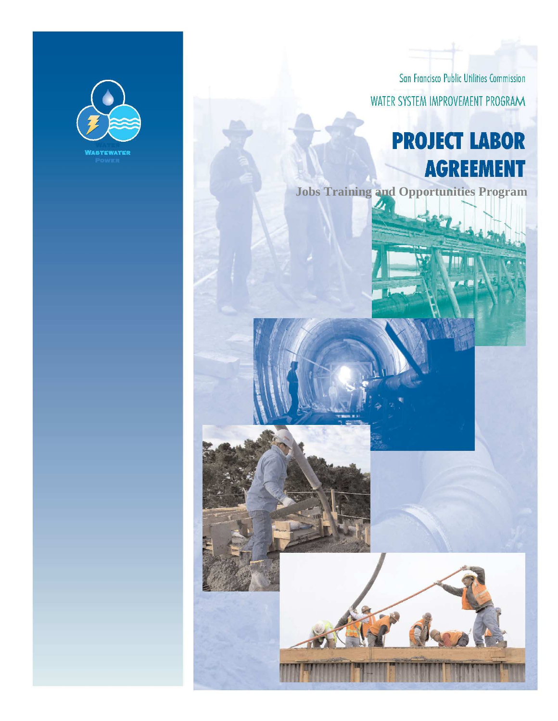

**GAVIN NEWSOM**  MAYOR

**F.X. CROWLEY**  PRESIDENT

**FRANCESCA VIETOR**  VICE PRESIDENT **ANN MOLLER CAEN**  COMMISSIONER **JULIET ELLIS**  COMMISSIONER **ANSON B. MORAN**  COMMISSIONER **ED HARRINGTON**  GENERAL MANAGER

San Francisco Public Utilities Commission WATER SYSTEM IMPROVEMENT PROGRAM

# **PROJECT LABOR AGREEMENT**

Carol Isen, Director

Labor Relations and Community Programs Division

San Francisco Public Utilities Commission

1145 Market Street, 10th Floor San Francisco, Ca. 94103

**Jobs Training and Opportunities Program** 

**Water System Improvement Program Project Labor Agreement Job Training and Opportunities Program** 

**November 24, 2009**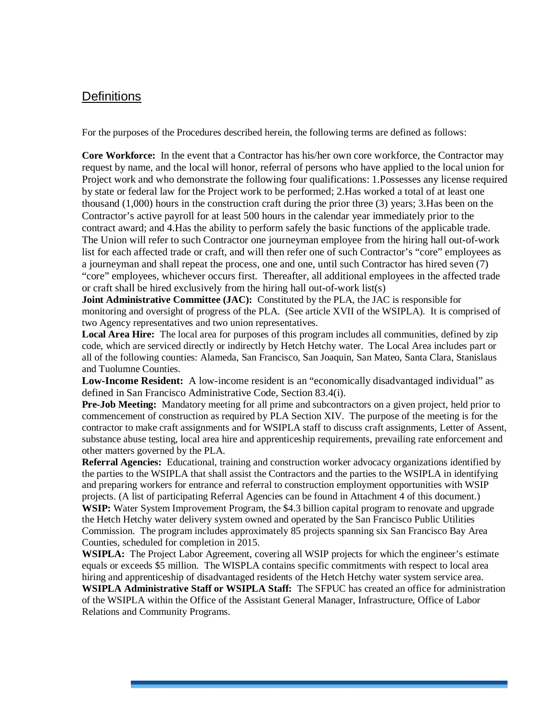## **Definitions**

For the purposes of the Procedures described herein, the following terms are defined as follows:

**Core Workforce:** In the event that a Contractor has his/her own core workforce, the Contractor may request by name, and the local will honor, referral of persons who have applied to the local union for Project work and who demonstrate the following four qualifications: 1.Possesses any license required by state or federal law for the Project work to be performed; 2.Has worked a total of at least one thousand (1,000) hours in the construction craft during the prior three (3) years; 3.Has been on the Contractor's active payroll for at least 500 hours in the calendar year immediately prior to the contract award; and 4.Has the ability to perform safely the basic functions of the applicable trade. The Union will refer to such Contractor one journeyman employee from the hiring hall out-of-work list for each affected trade or craft, and will then refer one of such Contractor's "core" employees as a journeyman and shall repeat the process, one and one, until such Contractor has hired seven (7) "core" employees, whichever occurs first. Thereafter, all additional employees in the affected trade or craft shall be hired exclusively from the hiring hall out-of-work list(s)

**Joint Administrative Committee (JAC):** Constituted by the PLA, the JAC is responsible for monitoring and oversight of progress of the PLA. (See article XVII of the WSIPLA). It is comprised of two Agency representatives and two union representatives.

**Local Area Hire:** The local area for purposes of this program includes all communities, defined by zip code, which are serviced directly or indirectly by Hetch Hetchy water. The Local Area includes part or all of the following counties: Alameda, San Francisco, San Joaquin, San Mateo, Santa Clara, Stanislaus and Tuolumne Counties.

**Low-Income Resident:** A low-income resident is an "economically disadvantaged individual" as defined in San Francisco Administrative Code, Section 83.4(i).

**Pre-Job Meeting:** Mandatory meeting for all prime and subcontractors on a given project, held prior to commencement of construction as required by PLA Section XIV. The purpose of the meeting is for the contractor to make craft assignments and for WSIPLA staff to discuss craft assignments, Letter of Assent, substance abuse testing, local area hire and apprenticeship requirements, prevailing rate enforcement and other matters governed by the PLA.

**Referral Agencies:** Educational, training and construction worker advocacy organizations identified by the parties to the WSIPLA that shall assist the Contractors and the parties to the WSIPLA in identifying and preparing workers for entrance and referral to construction employment opportunities with WSIP projects. (A list of participating Referral Agencies can be found in Attachment 4 of this document.) **WSIP:** Water System Improvement Program, the \$4.3 billion capital program to renovate and upgrade the Hetch Hetchy water delivery system owned and operated by the San Francisco Public Utilities Commission. The program includes approximately 85 projects spanning six San Francisco Bay Area Counties, scheduled for completion in 2015.

**WSIPLA:** The Project Labor Agreement, covering all WSIP projects for which the engineer's estimate equals or exceeds \$5 million. The WISPLA contains specific commitments with respect to local area hiring and apprenticeship of disadvantaged residents of the Hetch Hetchy water system service area. **WSIPLA Administrative Staff or WSIPLA Staff:** The SFPUC has created an office for administration of the WSIPLA within the Office of the Assistant General Manager, Infrastructure, Office of Labor Relations and Community Programs.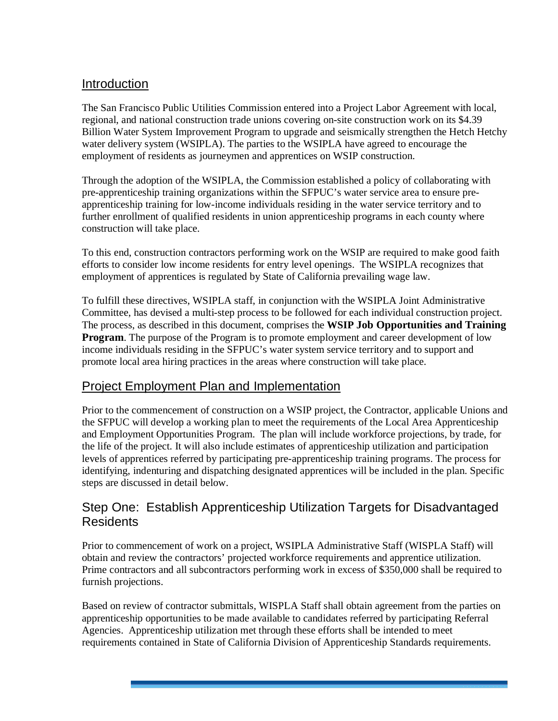## Introduction

The San Francisco Public Utilities Commission entered into a Project Labor Agreement with local, regional, and national construction trade unions covering on-site construction work on its \$4.39 Billion Water System Improvement Program to upgrade and seismically strengthen the Hetch Hetchy water delivery system (WSIPLA). The parties to the WSIPLA have agreed to encourage the employment of residents as journeymen and apprentices on WSIP construction.

Through the adoption of the WSIPLA, the Commission established a policy of collaborating with pre-apprenticeship training organizations within the SFPUC's water service area to ensure preapprenticeship training for low-income individuals residing in the water service territory and to further enrollment of qualified residents in union apprenticeship programs in each county where construction will take place.

To this end, construction contractors performing work on the WSIP are required to make good faith efforts to consider low income residents for entry level openings. The WSIPLA recognizes that employment of apprentices is regulated by State of California prevailing wage law.

To fulfill these directives, WSIPLA staff, in conjunction with the WSIPLA Joint Administrative Committee, has devised a multi-step process to be followed for each individual construction project. The process, as described in this document, comprises the **WSIP Job Opportunities and Training Program.** The purpose of the Program is to promote employment and career development of low income individuals residing in the SFPUC's water system service territory and to support and promote local area hiring practices in the areas where construction will take place.

## Project Employment Plan and Implementation

Prior to the commencement of construction on a WSIP project, the Contractor, applicable Unions and the SFPUC will develop a working plan to meet the requirements of the Local Area Apprenticeship and Employment Opportunities Program. The plan will include workforce projections, by trade, for the life of the project. It will also include estimates of apprenticeship utilization and participation levels of apprentices referred by participating pre-apprenticeship training programs. The process for identifying, indenturing and dispatching designated apprentices will be included in the plan. Specific steps are discussed in detail below.

## Step One: Establish Apprenticeship Utilization Targets for Disadvantaged Residents

Prior to commencement of work on a project, WSIPLA Administrative Staff (WISPLA Staff) will obtain and review the contractors' projected workforce requirements and apprentice utilization. Prime contractors and all subcontractors performing work in excess of \$350,000 shall be required to furnish projections.

Based on review of contractor submittals, WISPLA Staff shall obtain agreement from the parties on apprenticeship opportunities to be made available to candidates referred by participating Referral Agencies. Apprenticeship utilization met through these efforts shall be intended to meet requirements contained in State of California Division of Apprenticeship Standards requirements.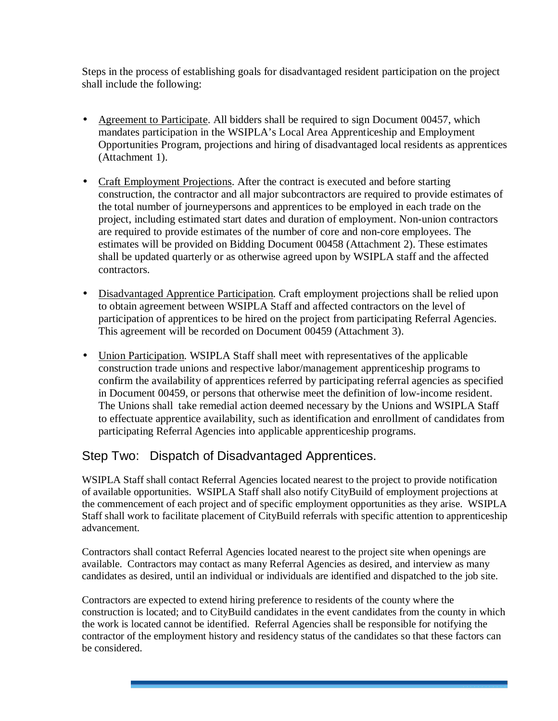Steps in the process of establishing goals for disadvantaged resident participation on the project shall include the following:

- Agreement to Participate. All bidders shall be required to sign Document 00457, which mandates participation in the WSIPLA's Local Area Apprenticeship and Employment Opportunities Program, projections and hiring of disadvantaged local residents as apprentices (Attachment 1).
- Craft Employment Projections. After the contract is executed and before starting construction, the contractor and all major subcontractors are required to provide estimates of the total number of journeypersons and apprentices to be employed in each trade on the project, including estimated start dates and duration of employment. Non-union contractors are required to provide estimates of the number of core and non-core employees. The estimates will be provided on Bidding Document 00458 (Attachment 2). These estimates shall be updated quarterly or as otherwise agreed upon by WSIPLA staff and the affected contractors.
- Disadvantaged Apprentice Participation. Craft employment projections shall be relied upon to obtain agreement between WSIPLA Staff and affected contractors on the level of participation of apprentices to be hired on the project from participating Referral Agencies. This agreement will be recorded on Document 00459 (Attachment 3).
- Union Participation. WSIPLA Staff shall meet with representatives of the applicable construction trade unions and respective labor/management apprenticeship programs to confirm the availability of apprentices referred by participating referral agencies as specified in Document 00459, or persons that otherwise meet the definition of low-income resident. The Unions shall take remedial action deemed necessary by the Unions and WSIPLA Staff to effectuate apprentice availability, such as identification and enrollment of candidates from participating Referral Agencies into applicable apprenticeship programs.

## Step Two: Dispatch of Disadvantaged Apprentices.

WSIPLA Staff shall contact Referral Agencies located nearest to the project to provide notification of available opportunities. WSIPLA Staff shall also notify CityBuild of employment projections at the commencement of each project and of specific employment opportunities as they arise. WSIPLA Staff shall work to facilitate placement of CityBuild referrals with specific attention to apprenticeship advancement.

Contractors shall contact Referral Agencies located nearest to the project site when openings are available. Contractors may contact as many Referral Agencies as desired, and interview as many candidates as desired, until an individual or individuals are identified and dispatched to the job site.

Contractors are expected to extend hiring preference to residents of the county where the construction is located; and to CityBuild candidates in the event candidates from the county in which the work is located cannot be identified. Referral Agencies shall be responsible for notifying the contractor of the employment history and residency status of the candidates so that these factors can be considered.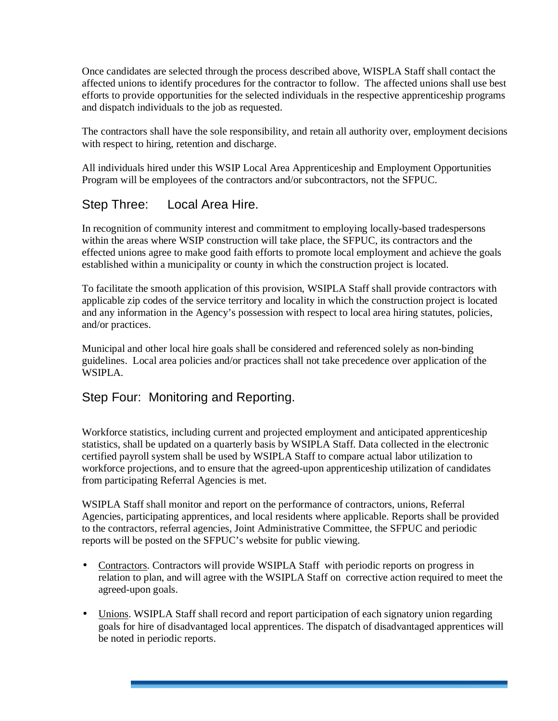Once candidates are selected through the process described above, WISPLA Staff shall contact the affected unions to identify procedures for the contractor to follow. The affected unions shall use best efforts to provide opportunities for the selected individuals in the respective apprenticeship programs and dispatch individuals to the job as requested.

The contractors shall have the sole responsibility, and retain all authority over, employment decisions with respect to hiring, retention and discharge.

All individuals hired under this WSIP Local Area Apprenticeship and Employment Opportunities Program will be employees of the contractors and/or subcontractors, not the SFPUC.

## Step Three: Local Area Hire.

In recognition of community interest and commitment to employing locally-based tradespersons within the areas where WSIP construction will take place, the SFPUC, its contractors and the effected unions agree to make good faith efforts to promote local employment and achieve the goals established within a municipality or county in which the construction project is located.

To facilitate the smooth application of this provision, WSIPLA Staff shall provide contractors with applicable zip codes of the service territory and locality in which the construction project is located and any information in the Agency's possession with respect to local area hiring statutes, policies, and/or practices.

Municipal and other local hire goals shall be considered and referenced solely as non-binding guidelines. Local area policies and/or practices shall not take precedence over application of the WSIPLA.

## Step Four: Monitoring and Reporting.

Workforce statistics, including current and projected employment and anticipated apprenticeship statistics, shall be updated on a quarterly basis by WSIPLA Staff. Data collected in the electronic certified payroll system shall be used by WSIPLA Staff to compare actual labor utilization to workforce projections, and to ensure that the agreed-upon apprenticeship utilization of candidates from participating Referral Agencies is met.

WSIPLA Staff shall monitor and report on the performance of contractors, unions, Referral Agencies, participating apprentices, and local residents where applicable. Reports shall be provided to the contractors, referral agencies, Joint Administrative Committee, the SFPUC and periodic reports will be posted on the SFPUC's website for public viewing.

- Contractors. Contractors will provide WSIPLA Staff with periodic reports on progress in relation to plan, and will agree with the WSIPLA Staff on corrective action required to meet the agreed-upon goals.
- Unions. WSIPLA Staff shall record and report participation of each signatory union regarding goals for hire of disadvantaged local apprentices. The dispatch of disadvantaged apprentices will be noted in periodic reports.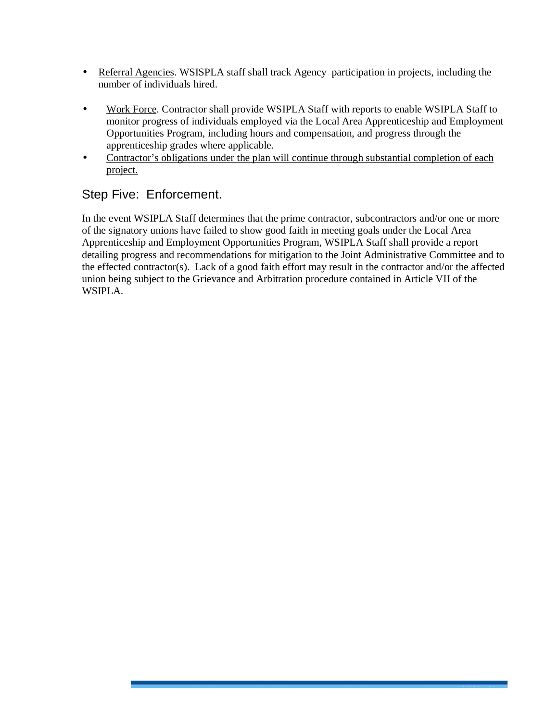- Referral Agencies. WSISPLA staff shall track Agency participation in projects, including the number of individuals hired.
- Work Force. Contractor shall provide WSIPLA Staff with reports to enable WSIPLA Staff to monitor progress of individuals employed via the Local Area Apprenticeship and Employment Opportunities Program, including hours and compensation, and progress through the apprenticeship grades where applicable.
- Contractor's obligations under the plan will continue through substantial completion of each project.

## Step Five: Enforcement.

In the event WSIPLA Staff determines that the prime contractor, subcontractors and/or one or more of the signatory unions have failed to show good faith in meeting goals under the Local Area Apprenticeship and Employment Opportunities Program, WSIPLA Staff shall provide a report detailing progress and recommendations for mitigation to the Joint Administrative Committee and to the effected contractor(s). Lack of a good faith effort may result in the contractor and/or the affected union being subject to the Grievance and Arbitration procedure contained in Article VII of the WSIPLA.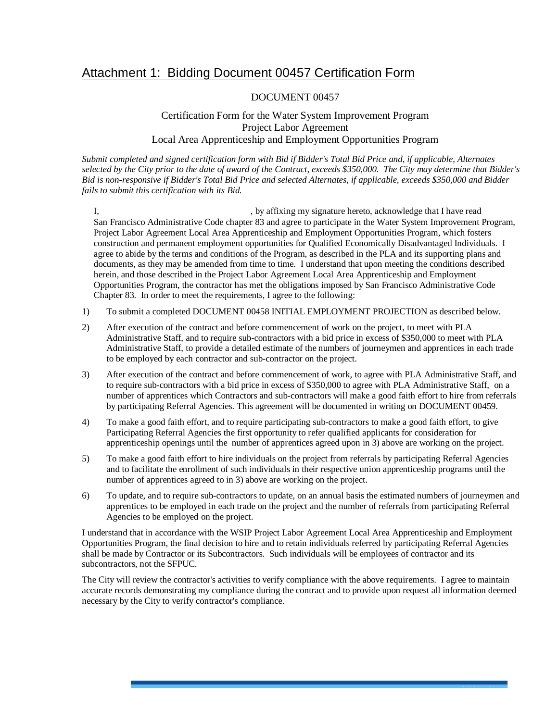## Attachment 1: Bidding Document 00457 Certification Form

#### DOCUMENT 00457

#### Certification Form for the Water System Improvement Program Project Labor Agreement Local Area Apprenticeship and Employment Opportunities Program

*Submit completed and signed certification form with Bid if Bidder's Total Bid Price and, if applicable, Alternates selected by the City prior to the date of award of the Contract, exceeds \$350,000. The City may determine that Bidder's Bid is non-responsive if Bidder's Total Bid Price and selected Alternates, if applicable, exceeds \$350,000 and Bidder fails to submit this certification with its Bid.* 

I, by affixing my signature hereto, acknowledge that I have read San Francisco Administrative Code chapter 83 and agree to participate in the Water System Improvement Program, Project Labor Agreement Local Area Apprenticeship and Employment Opportunities Program, which fosters construction and permanent employment opportunities for Qualified Economically Disadvantaged Individuals. I agree to abide by the terms and conditions of the Program, as described in the PLA and its supporting plans and documents, as they may be amended from time to time. I understand that upon meeting the conditions described herein, and those described in the Project Labor Agreement Local Area Apprenticeship and Employment Opportunities Program, the contractor has met the obligations imposed by San Francisco Administrative Code Chapter 83. In order to meet the requirements, I agree to the following:

- 1) To submit a completed DOCUMENT 00458 INITIAL EMPLOYMENT PROJECTION as described below.
- 2) After execution of the contract and before commencement of work on the project, to meet with PLA Administrative Staff, and to require sub-contractors with a bid price in excess of \$350,000 to meet with PLA Administrative Staff, to provide a detailed estimate of the numbers of journeymen and apprentices in each trade to be employed by each contractor and sub-contractor on the project.
- 3) After execution of the contract and before commencement of work, to agree with PLA Administrative Staff, and to require sub-contractors with a bid price in excess of \$350,000 to agree with PLA Administrative Staff, on a number of apprentices which Contractors and sub-contractors will make a good faith effort to hire from referrals by participating Referral Agencies. This agreement will be documented in writing on DOCUMENT 00459.
- 4) To make a good faith effort, and to require participating sub-contractors to make a good faith effort, to give Participating Referral Agencies the first opportunity to refer qualified applicants for consideration for apprenticeship openings until the number of apprentices agreed upon in 3) above are working on the project.
- 5) To make a good faith effort to hire individuals on the project from referrals by participating Referral Agencies and to facilitate the enrollment of such individuals in their respective union apprenticeship programs until the number of apprentices agreed to in 3) above are working on the project.
- 6) To update, and to require sub-contractors to update, on an annual basis the estimated numbers of journeymen and apprentices to be employed in each trade on the project and the number of referrals from participating Referral Agencies to be employed on the project.

I understand that in accordance with the WSIP Project Labor Agreement Local Area Apprenticeship and Employment Opportunities Program, the final decision to hire and to retain individuals referred by participating Referral Agencies shall be made by Contractor or its Subcontractors. Such individuals will be employees of contractor and its subcontractors, not the SFPUC.

The City will review the contractor's activities to verify compliance with the above requirements. I agree to maintain accurate records demonstrating my compliance during the contract and to provide upon request all information deemed necessary by the City to verify contractor's compliance.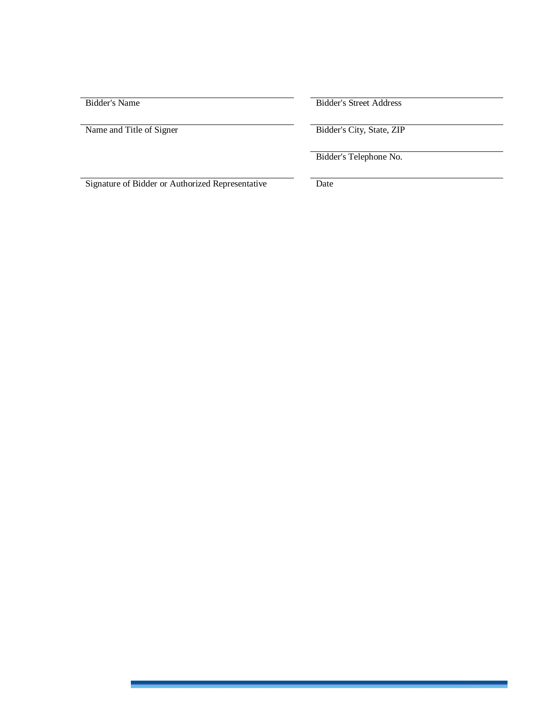| Bidder's Name                                    | <b>Bidder's Street Address</b> |
|--------------------------------------------------|--------------------------------|
| Name and Title of Signer                         | Bidder's City, State, ZIP      |
|                                                  | Bidder's Telephone No.         |
| Signature of Bidder or Authorized Representative | Date                           |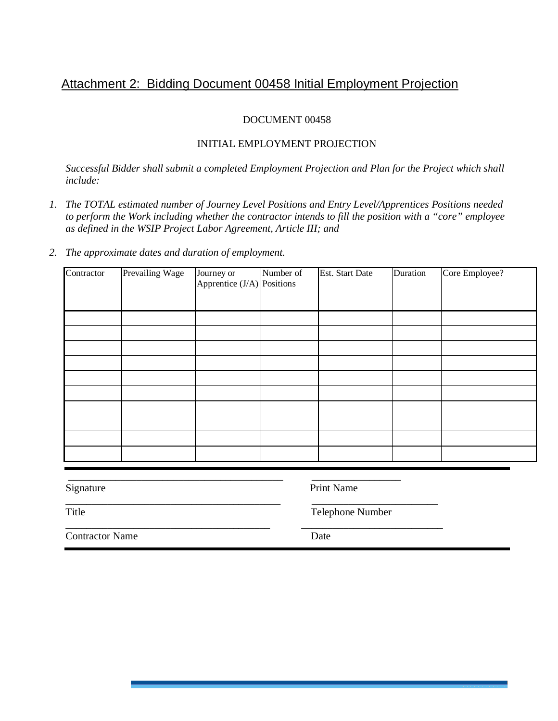## Attachment 2: Bidding Document 00458 Initial Employment Projection

#### DOCUMENT 00458

#### INITIAL EMPLOYMENT PROJECTION

*Successful Bidder shall submit a completed Employment Projection and Plan for the Project which shall include:* 

- *1. The TOTAL estimated number of Journey Level Positions and Entry Level/Apprentices Positions needed to perform the Work including whether the contractor intends to fill the position with a "core" employee as defined in the WSIP Project Labor Agreement, Article III; and*
- *2. The approximate dates and duration of employment.*

| Contractor | Prevailing Wage | Journey or<br>Apprentice $J/A$ ) Positions | Number of | Est. Start Date | Duration | Core Employee? |
|------------|-----------------|--------------------------------------------|-----------|-----------------|----------|----------------|
|            |                 |                                            |           |                 |          |                |
|            |                 |                                            |           |                 |          |                |
|            |                 |                                            |           |                 |          |                |
|            |                 |                                            |           |                 |          |                |
|            |                 |                                            |           |                 |          |                |
|            |                 |                                            |           |                 |          |                |
|            |                 |                                            |           |                 |          |                |
|            |                 |                                            |           |                 |          |                |
|            |                 |                                            |           |                 |          |                |

| Signature              | <b>Print Name</b> |
|------------------------|-------------------|
| Title                  | Telephone Number  |
| <b>Contractor Name</b> | Date              |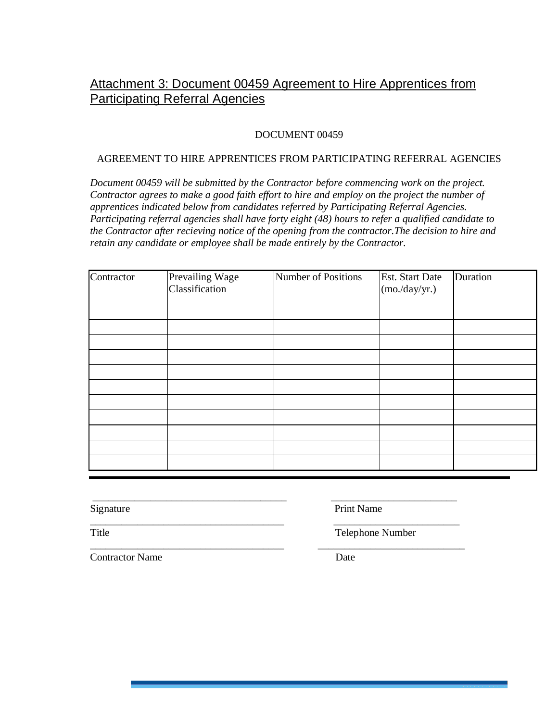## Attachment 3: Document 00459 Agreement to Hire Apprentices from Participating Referral Agencies

#### DOCUMENT 00459

#### AGREEMENT TO HIRE APPRENTICES FROM PARTICIPATING REFERRAL AGENCIES

*Document 00459 will be submitted by the Contractor before commencing work on the project. Contractor agrees to make a good faith effort to hire and employ on the project the number of apprentices indicated below from candidates referred by Participating Referral Agencies. Participating referral agencies shall have forty eight (48) hours to refer a qualified candidate to the Contractor after recieving notice of the opening from the contractor.The decision to hire and retain any candidate or employee shall be made entirely by the Contractor.* 

| Contractor | Prevailing Wage<br>Classification | Number of Positions | <b>Est.</b> Start Date<br>(mo./day/yr.) | Duration |
|------------|-----------------------------------|---------------------|-----------------------------------------|----------|
|            |                                   |                     |                                         |          |
|            |                                   |                     |                                         |          |
|            |                                   |                     |                                         |          |
|            |                                   |                     |                                         |          |
|            |                                   |                     |                                         |          |
|            |                                   |                     |                                         |          |
|            |                                   |                     |                                         |          |
|            |                                   |                     |                                         |          |
|            |                                   |                     |                                         |          |
|            |                                   |                     |                                         |          |

**Contractor Name** Date

 \_\_\_\_\_\_\_\_\_\_\_\_\_\_\_\_\_\_\_\_\_\_\_\_\_\_\_\_\_\_\_\_\_\_\_\_\_ \_\_\_\_\_\_\_\_\_\_\_\_\_\_\_\_\_\_\_\_\_\_\_\_ Signature Print Name

\_\_\_\_\_\_\_\_\_\_\_\_\_\_\_\_\_\_\_\_\_\_\_\_\_\_\_\_\_\_\_\_\_\_\_\_\_ \_\_\_\_\_\_\_\_\_\_\_\_\_\_\_\_\_\_\_\_\_\_\_\_ Title Title Telephone Number

\_\_\_\_\_\_\_\_\_\_\_\_\_\_\_\_\_\_\_\_\_\_\_\_\_\_\_\_\_\_\_\_\_\_\_\_\_ \_\_\_\_\_\_\_\_\_\_\_\_\_\_\_\_\_\_\_\_\_\_\_\_\_\_\_\_